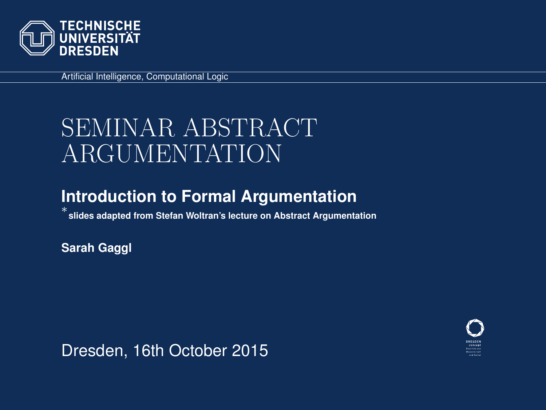

Artificial Intelligence, Computational Logic

# SEMINAR ABSTRACT ARGUMENTATION

#### **Introduction to Formal Argumentation**

∗ **slides adapted from Stefan Woltran's lecture on Abstract Argumentation**

**Sarah Gaggl**

Dresden, 16th October 2015

<span id="page-0-0"></span>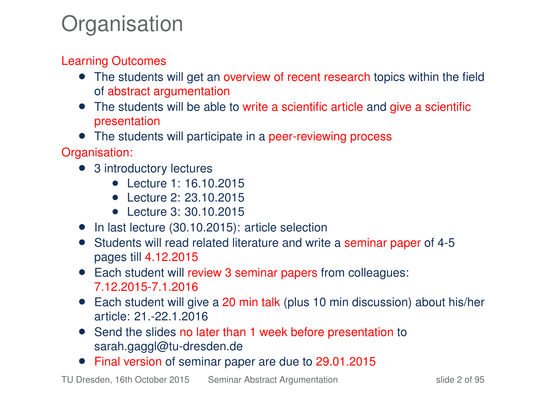# **Organisation**

#### Learning Outcomes

- The students will get an overview of recent research topics within the field of abstract argumentation
- The students will be able to write a scientific article and give a scientific presentation
- The students will participate in a peer-reviewing process

Organisation:

- 3 introductory lectures
	- Lecture 1: 16.10.2015
	- Lecture 2: 23.10.2015
	- Lecture 3: 30.10.2015
- In last lecture (30.10.2015): article selection
- Students will read related literature and write a seminar paper of 4-5 pages till 4.12.2015
- Each student will review 3 seminar papers from colleagues: 7.12.2015-7.1.2016
- Each student will give a 20 min talk (plus 10 min discussion) about his/her article: 21.-22.1.2016
- Send the slides no later than 1 week before presentation to sarah.gaggl@tu-dresden.de
- Final version of seminar paper are due to 29.01.2015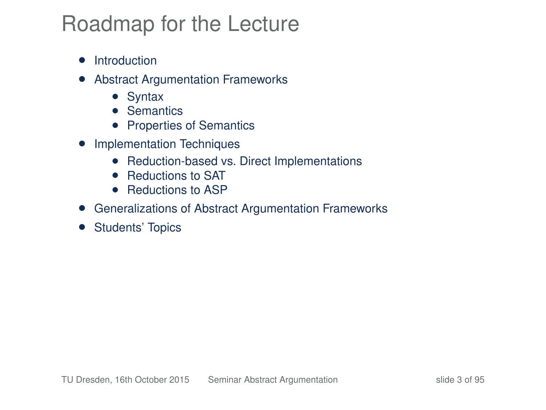# Roadmap for the Lecture

- Introduction
- Abstract Argumentation Frameworks
	- Syntax
	- Semantics
	- Properties of Semantics
- Implementation Techniques
	- Reduction-based vs. Direct Implementations
	- Reductions to SAT
	- Reductions to ASP
- Generalizations of Abstract Argumentation Frameworks
- Students' Topics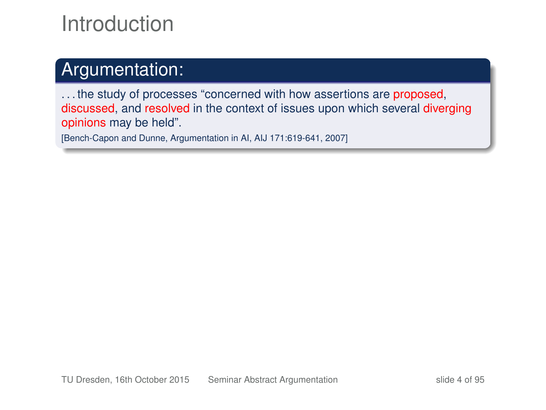# Introduction

#### Argumentation:

... the study of processes "concerned with how assertions are proposed, discussed, and resolved in the context of issues upon which several diverging opinions may be held".

[Bench-Capon and Dunne, Argumentation in AI, AIJ 171:619-641, 2007]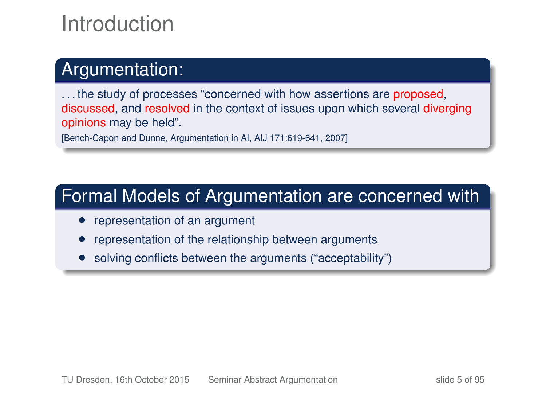# Introduction

#### Argumentation:

... the study of processes "concerned with how assertions are proposed, discussed, and resolved in the context of issues upon which several diverging opinions may be held".

[Bench-Capon and Dunne, Argumentation in AI, AIJ 171:619-641, 2007]

#### Formal Models of Argumentation are concerned with

- representation of an argument
- representation of the relationship between arguments
- solving conflicts between the arguments ("acceptability")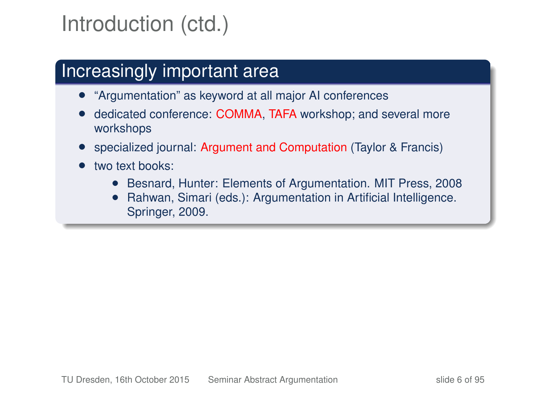# Introduction (ctd.)

### Increasingly important area

- "Argumentation" as keyword at all major AI conferences
- dedicated conference: COMMA, TAFA workshop; and several more workshops
- specialized journal: Argument and Computation (Taylor & Francis)
- two text books:
	- Besnard, Hunter: Elements of Argumentation. MIT Press, 2008
	- Rahwan, Simari (eds.): Argumentation in Artificial Intelligence. Springer, 2009.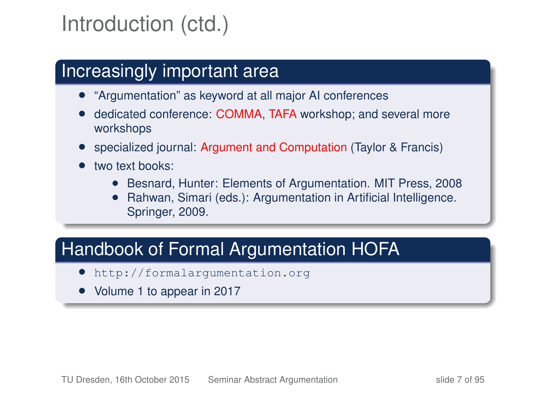# Introduction (ctd.)

#### Increasingly important area

- "Argumentation" as keyword at all major AI conferences
- dedicated conference: COMMA, TAFA workshop; and several more workshops
- specialized journal: Argument and Computation (Taylor & Francis)
- two text books:
	- Besnard, Hunter: Elements of Argumentation. MIT Press, 2008
	- Rahwan, Simari (eds.): Argumentation in Artificial Intelligence. Springer, 2009.

#### Handbook of Formal Argumentation HOFA

- <http://formalargumentation.org>
- Volume 1 to appear in 2017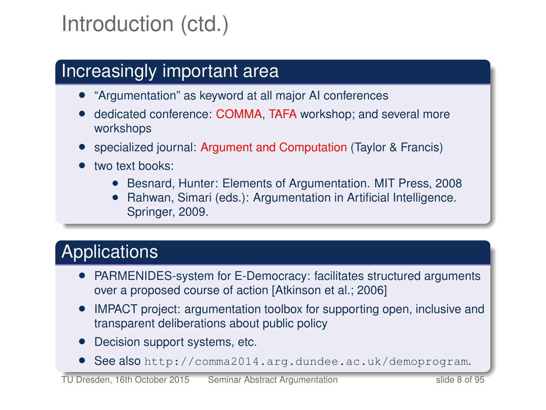# Introduction (ctd.)

### Increasingly important area

- "Argumentation" as keyword at all major AI conferences
- dedicated conference: COMMA, TAFA workshop; and several more workshops
- specialized journal: Argument and Computation (Taylor & Francis)
- two text books:
	- Besnard, Hunter: Elements of Argumentation. MIT Press, 2008
	- Rahwan, Simari (eds.): Argumentation in Artificial Intelligence. Springer, 2009.

### Applications

- PARMENIDES-system for E-Democracy: facilitates structured arguments over a proposed course of action [Atkinson et al.; 2006]
- IMPACT project: argumentation toolbox for supporting open, inclusive and transparent deliberations about public policy
- Decision support systems, etc.
- See also <http://comma2014.arg.dundee.ac.uk/demoprogram>.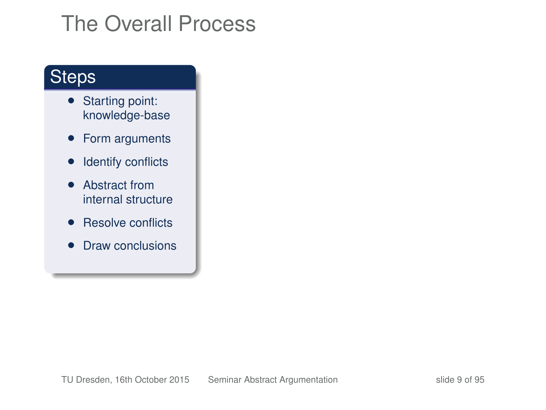#### **Steps**

- Starting point: knowledge-base
- Form arguments
- Identify conflicts
- Abstract from internal structure
- Resolve conflicts
- Draw conclusions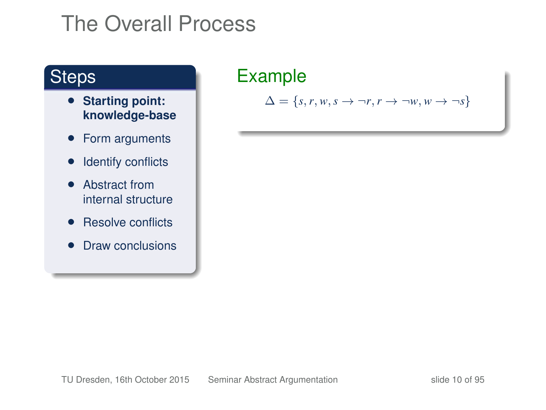#### **Steps**

- **Starting point: knowledge-base**
- Form arguments
- Identify conflicts
- Abstract from internal structure
- Resolve conflicts
- Draw conclusions

### Example

 $\Delta = \{s, r, w, s \rightarrow \neg r, r \rightarrow \neg w, w \rightarrow \neg s\}$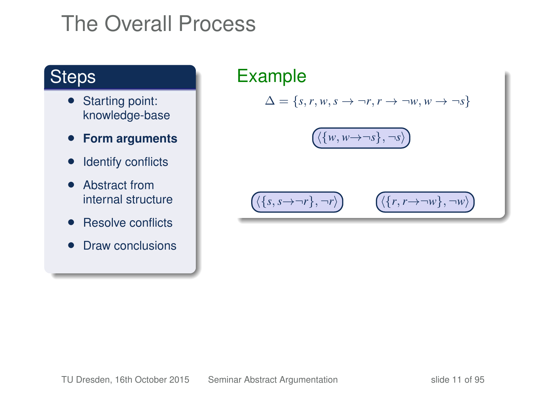#### **Steps**

- Starting point: knowledge-base
- **Form arguments**
- Identify conflicts
- Abstract from internal structure
- Resolve conflicts
- Draw conclusions

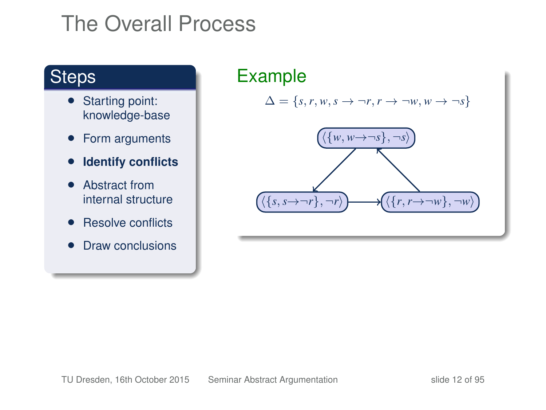#### **Steps**

- Starting point: knowledge-base
- Form arguments
- **Identify conflicts**
- Abstract from internal structure
- Resolve conflicts
- Draw conclusions

### Example

 $\Delta = \{s, r, w, s \rightarrow \neg r, r \rightarrow \neg w, w \rightarrow \neg s\}$ 

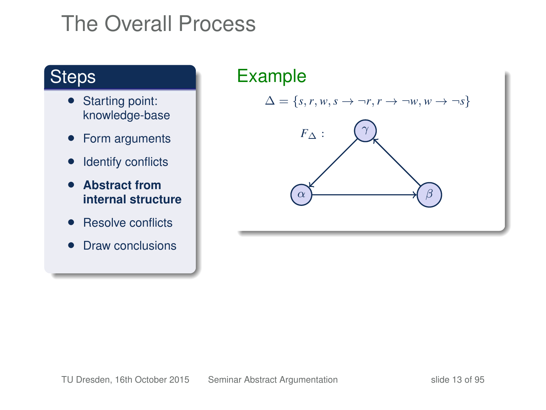#### **Steps**

- Starting point: knowledge-base
- Form arguments
- Identify conflicts
- **Abstract from internal structure**
- Resolve conflicts
- Draw conclusions

# Example  $\Delta = \{s, r, w, s \rightarrow \neg r, r \rightarrow \neg w, w \rightarrow \neg s\}$ *F*<sup>∆</sup> :  $\alpha$  )  $\longrightarrow$  (  $\beta$ γ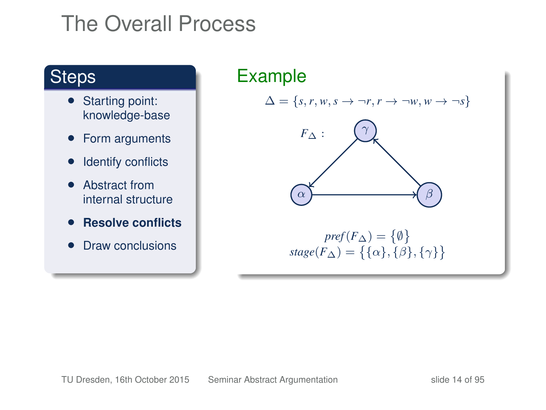#### **Steps**

- Starting point: knowledge-base
- Form arguments
- Identify conflicts
- Abstract from internal structure
- **Resolve conflicts**
- Draw conclusions

Example  $\Delta = \{s, r, w, s \rightarrow \neg r, r \rightarrow \neg w, w \rightarrow \neg s\}$ *F*<sup>∆</sup> :  $\alpha$  )  $\longrightarrow$  (  $\beta$ γ  $\mathit{pref}(F_\Delta)=\{\emptyset\}$  $stage(F_\Delta) = \{\{\alpha\},\{\beta\},\{\gamma\}\}\$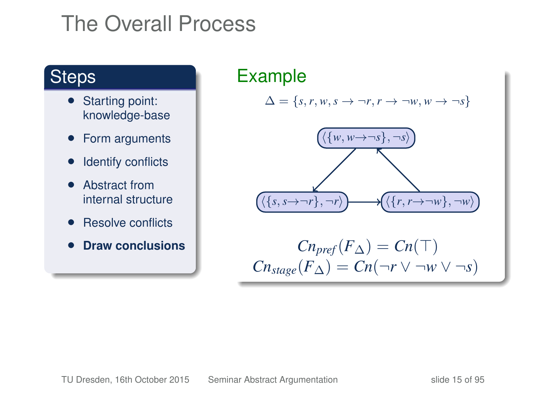#### **Steps**

- Starting point: knowledge-base
- Form arguments
- Identify conflicts
- Abstract from internal structure
- Resolve conflicts
- **Draw conclusions**

### Example

 $\Delta = \{s, r, w, s \rightarrow \neg r, r \rightarrow \neg w, w \rightarrow \neg s\}$ 

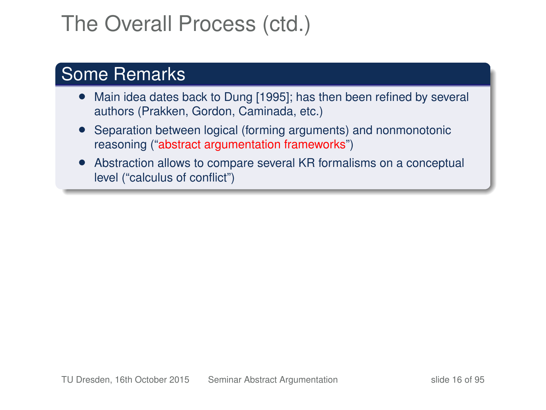# The Overall Process (ctd.)

#### Some Remarks

- Main idea dates back to Dung [1995]; has then been refined by several authors (Prakken, Gordon, Caminada, etc.)
- Separation between logical (forming arguments) and nonmonotonic reasoning ("abstract argumentation frameworks")
- Abstraction allows to compare several KR formalisms on a conceptual level ("calculus of conflict")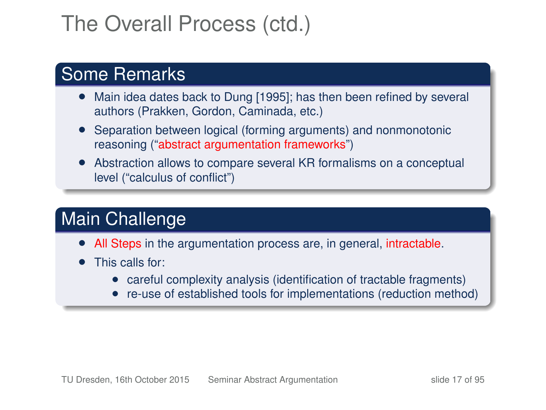# The Overall Process (ctd.)

#### Some Remarks

- Main idea dates back to Dung [1995]; has then been refined by several authors (Prakken, Gordon, Caminada, etc.)
- Separation between logical (forming arguments) and nonmonotonic reasoning ("abstract argumentation frameworks")
- Abstraction allows to compare several KR formalisms on a conceptual level ("calculus of conflict")

#### Main Challenge

- All Steps in the argumentation process are, in general, intractable.
- This calls for:
	- careful complexity analysis (identification of tractable fragments)
	- re-use of established tools for implementations (reduction method)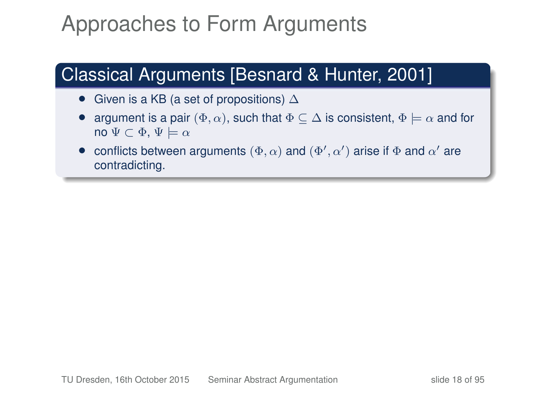# Approaches to Form Arguments

### Classical Arguments [Besnard & Hunter, 2001]

- Given is a KB (a set of propositions)  $\Delta$
- argument is a pair  $(\Phi, \alpha)$ , such that  $\Phi \subseteq \Delta$  is consistent,  $\Phi \models \alpha$  and for no  $\Psi \subset \Phi$ ,  $\Psi \models \alpha$
- conflicts between arguments  $(\Phi, \alpha)$  and  $(\Phi', \alpha')$  arise if  $\Phi$  and  $\alpha'$  are contradicting.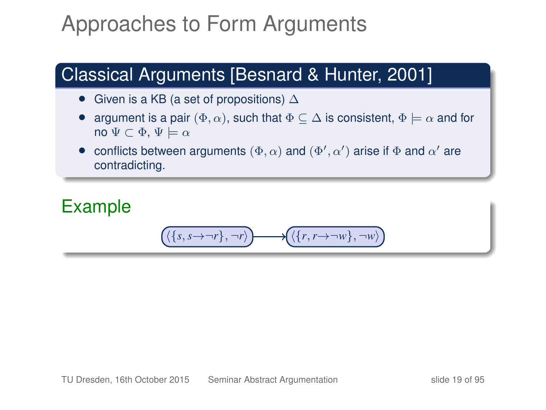# Approaches to Form Arguments

### Classical Arguments [Besnard & Hunter, 2001]

- Given is a KB (a set of propositions)  $\Delta$
- argument is a pair  $(\Phi, \alpha)$ , such that  $\Phi \subseteq \Delta$  is consistent,  $\Phi \models \alpha$  and for no  $\Psi \subset \Phi$ ,  $\Psi \models \alpha$
- conflicts between arguments  $(\Phi, \alpha)$  and  $(\Phi', \alpha')$  arise if  $\Phi$  and  $\alpha'$  are contradicting.

#### Example

$$
\left(\langle \{s, s{\rightarrow} \neg r\}, \neg r \rangle \right) \longrightarrow \left(\langle \{r, r{\rightarrow} \neg w\}, \neg w \rangle \right)
$$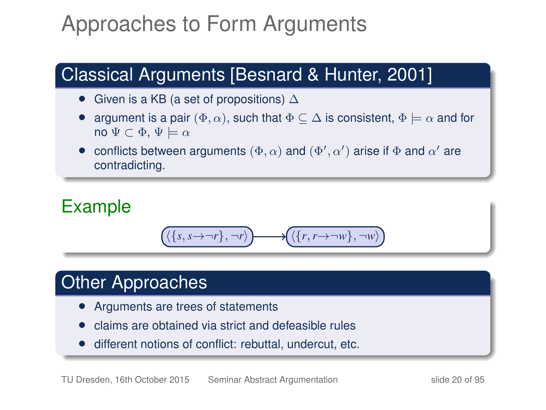# Approaches to Form Arguments

### Classical Arguments [Besnard & Hunter, 2001]

- Given is a KB (a set of propositions)  $\Delta$
- argument is a pair  $(\Phi, \alpha)$ , such that  $\Phi \subseteq \Delta$  is consistent,  $\Phi \models \alpha$  and for no  $\Psi \subset \Phi$ ,  $\Psi \models \alpha$
- conflicts between arguments  $(\Phi, \alpha)$  and  $(\Phi', \alpha')$  arise if  $\Phi$  and  $\alpha'$  are contradicting.

#### Example

$$
\Big( \big\{ \{s, s {\rightarrow} \neg r\}, \neg r \big\} \Big) \longrightarrow \Big( \big\{ \{r, r {\rightarrow} \neg w\}, \neg w \big\}
$$

#### Other Approaches

- Arguments are trees of statements
- claims are obtained via strict and defeasible rules
- different notions of conflict: rebuttal, undercut, etc.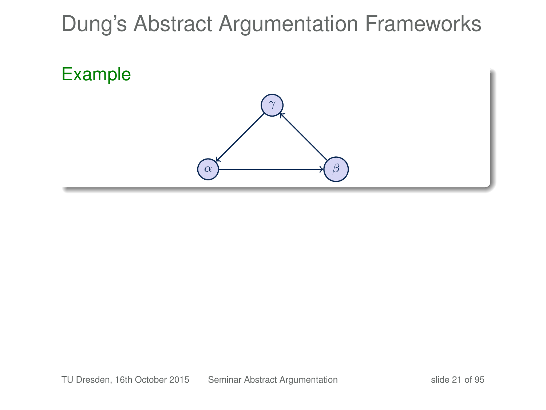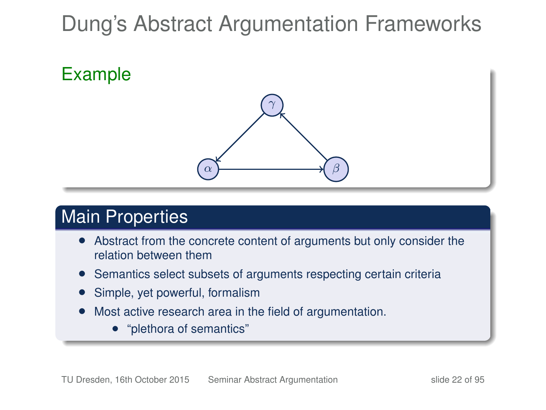Example



#### Main Properties

- Abstract from the concrete content of arguments but only consider the relation between them
- Semantics select subsets of arguments respecting certain criteria
- Simple, yet powerful, formalism
- Most active research area in the field of argumentation.
	- "plethora of semantics"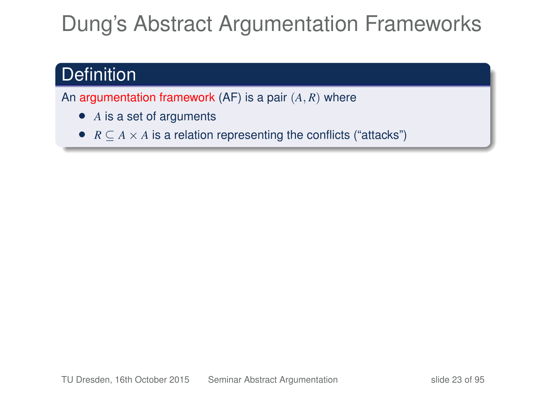#### **Definition**

An argumentation framework (AF) is a pair (*A*, *R*) where

- *A* is a set of arguments
- $R \subseteq A \times A$  is a relation representing the conflicts ("attacks")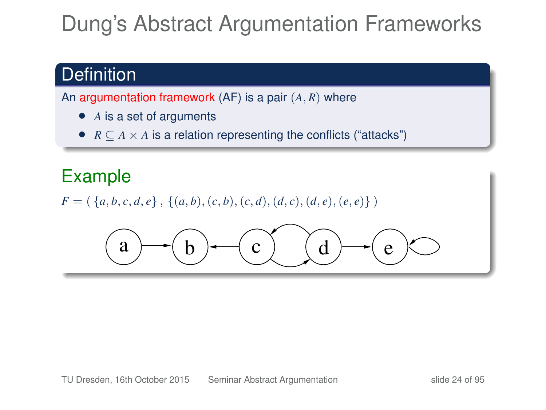### **Definition**

An argumentation framework (AF) is a pair (*A*, *R*) where

- *A* is a set of arguments
- $R \subseteq A \times A$  is a relation representing the conflicts ("attacks")

#### Example

 $F = (\{a, b, c, d, e\}, \{(a, b), (c, b), (c, d), (d, c), (d, e), (e, e)\})$ 

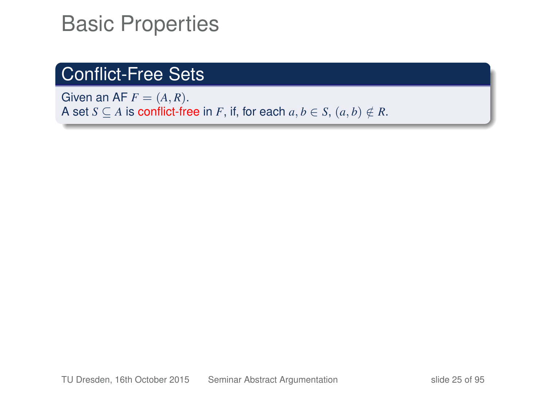#### Conflict-Free Sets

Given an AF  $F = (A, R)$ . A set *S*  $\subseteq$  *A* is conflict-free in *F*, if, for each  $a, b \in S$ ,  $(a, b) \notin R$ .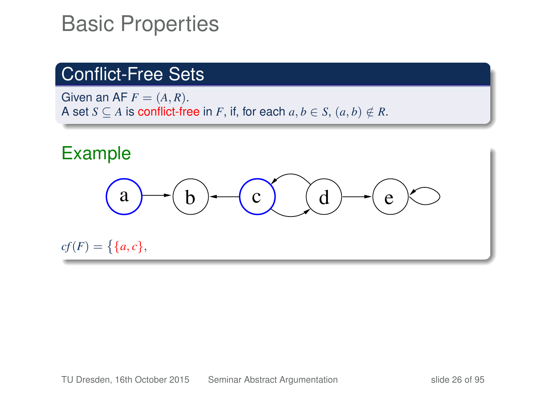#### Conflict-Free Sets

Given an AF  $F = (A, R)$ . A set *S*  $\subseteq$  *A* is conflict-free in *F*, if, for each  $a, b \in S$ ,  $(a, b) \notin R$ .

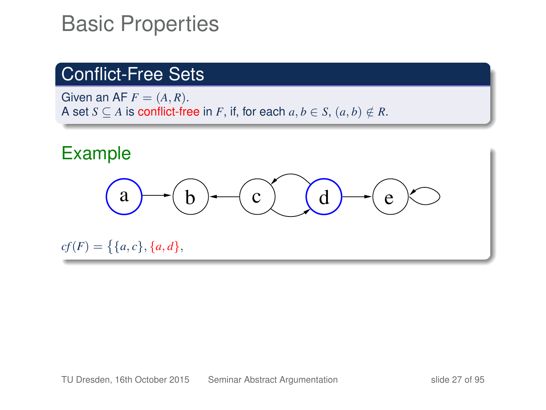#### Conflict-Free Sets

Given an AF  $F = (A, R)$ . A set *S*  $\subset$  *A* is conflict-free in *F*, if, for each  $a, b \in S$ ,  $(a, b) \notin R$ .

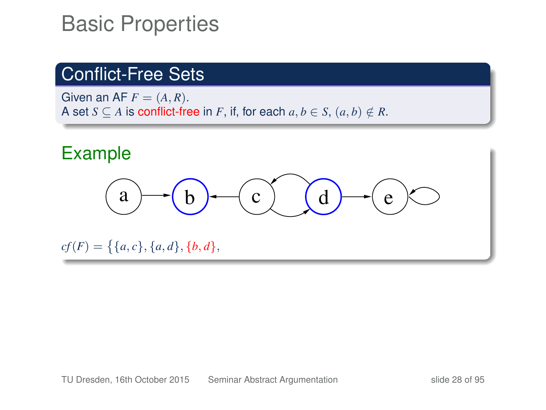### Conflict-Free Sets

Given an AF  $F = (A, R)$ . A set *S*  $\subset$  *A* is conflict-free in *F*, if, for each  $a, b \in S$ ,  $(a, b) \notin R$ .

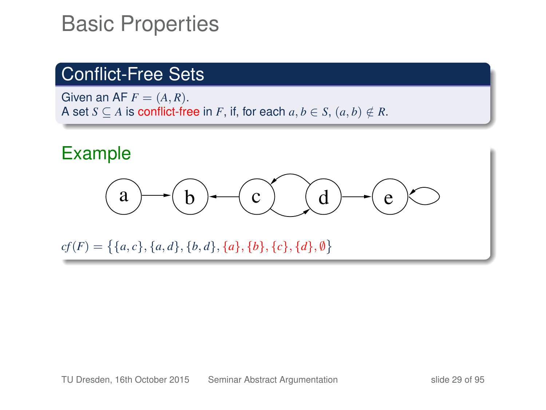#### Conflict-Free Sets

Given an AF  $F = (A, R)$ . A set *S*  $\subset$  *A* is conflict-free in *F*, if, for each  $a, b \in S$ ,  $(a, b) \notin R$ .

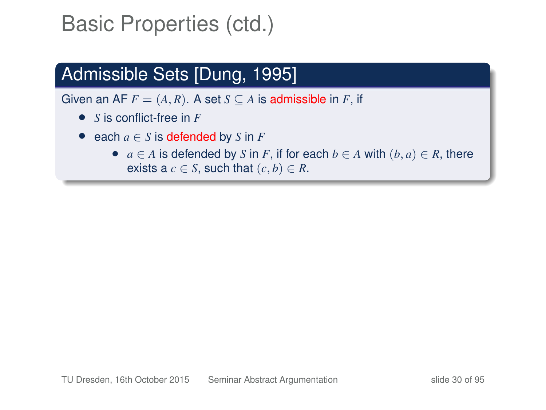### Admissible Sets [Dung, 1995]

- *S* is conflict-free in *F*
- each  $a \in S$  is defended by  $S$  in  $F$ 
	- $a \in A$  is defended by *S* in *F*, if for each  $b \in A$  with  $(b, a) \in R$ , there exists a  $c \in S$ , such that  $(c, b) \in R$ .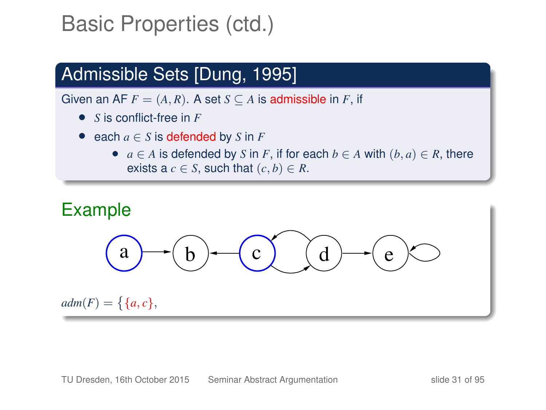### Admissible Sets [Dung, 1995]

- *S* is conflict-free in *F*
- each  $a \in S$  is defended by  $S$  in  $F$ 
	- $a \in A$  is defended by *S* in *F*, if for each  $b \in A$  with  $(b, a) \in R$ , there exists a  $c \in S$ , such that  $(c, b) \in R$ .

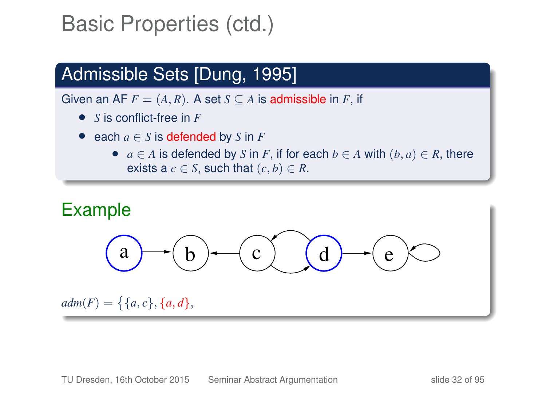### Admissible Sets [Dung, 1995]

- *S* is conflict-free in *F*
- each  $a \in S$  is defended by  $S$  in  $F$ 
	- $a \in A$  is defended by *S* in *F*, if for each  $b \in A$  with  $(b, a) \in R$ , there exists a  $c \in S$ , such that  $(c, b) \in R$ .

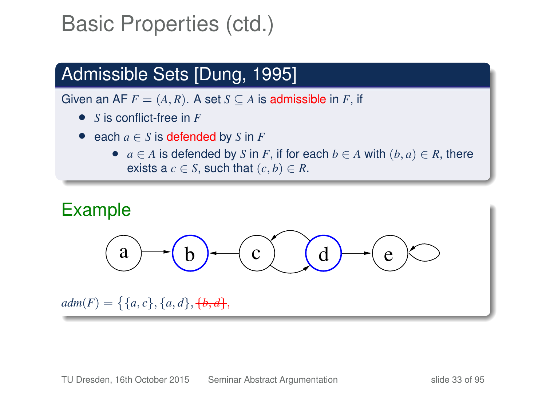### Admissible Sets [Dung, 1995]

- *S* is conflict-free in *F*
- each  $a \in S$  is defended by  $S$  in  $F$ 
	- $a \in A$  is defended by *S* in *F*, if for each  $b \in A$  with  $(b, a) \in R$ , there exists a  $c \in S$ , such that  $(c, b) \in R$ .

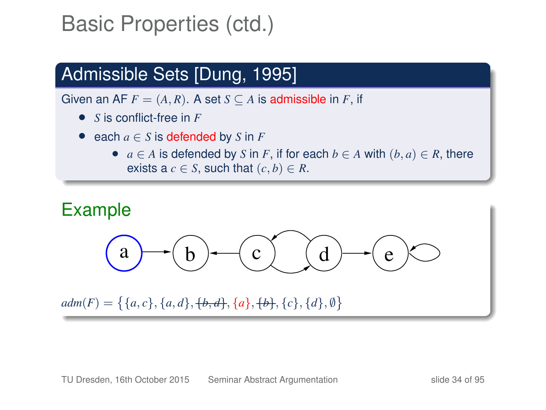### Admissible Sets [Dung, 1995]

- *S* is conflict-free in *F*
- each  $a \in S$  is defended by  $S$  in  $F$ 
	- $a \in A$  is defended by *S* in *F*, if for each  $b \in A$  with  $(b, a) \in R$ , there exists a  $c \in S$ , such that  $(c, b) \in R$ .

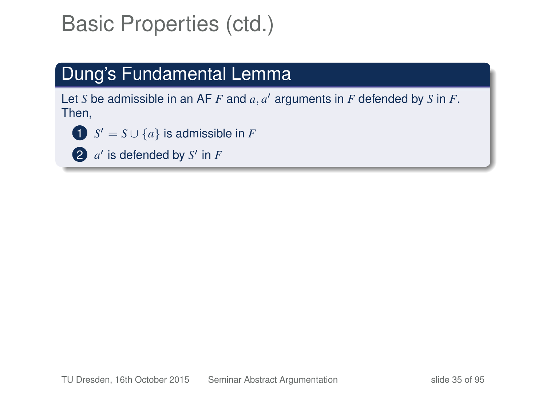### Dung's Fundamental Lemma

Let *S* be admissible in an AF  $F$  and  $a, a'$  arguments in  $F$  defended by  $S$  in  $F$ . Then,

- **1**  $S' = S \cup \{a\}$  is admissible in *F*
- 2  $a'$  is defended by  $S'$  in  $F$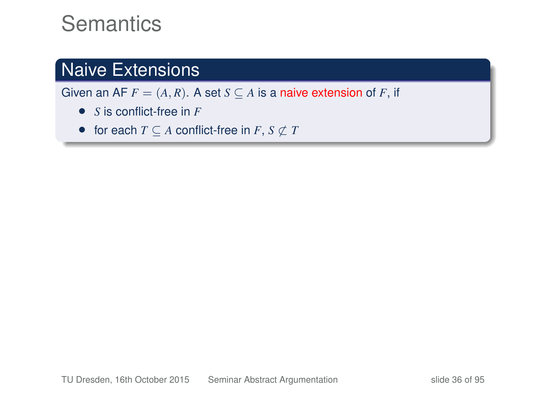### **Semantics**

#### Naive Extensions

Given an AF  $F = (A, R)$ . A set  $S \subseteq A$  is a naive extension of F, if

- *S* is conflict-free in *F*
- for each  $T \subseteq A$  conflict-free in  $F, S \nsubseteq T$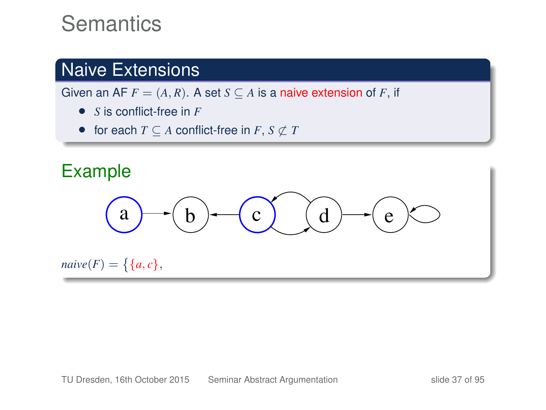#### Naive Extensions

- *S* is conflict-free in *F*
- for each  $T \subseteq A$  conflict-free in  $F, S \nsubseteq T$

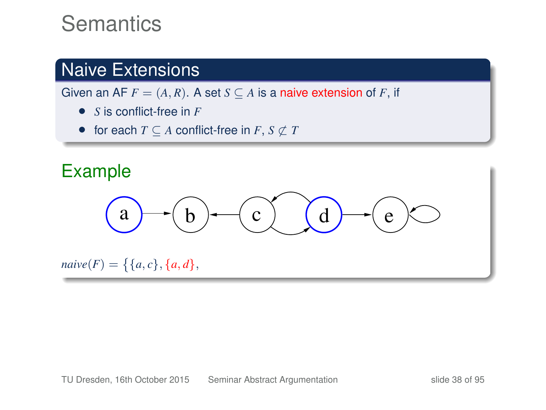#### Naive Extensions

Given an AF  $F = (A, R)$ . A set  $S \subseteq A$  is a naive extension of *F*, if

- *S* is conflict-free in *F*
- for each  $T \subseteq A$  conflict-free in  $F, S \not\subset T$

# Example  $a \rightarrow (b) \rightarrow (c)$   $(d) \rightarrow (e)$  $naive(F) = \{ \{a, c\}, \{a, d\},\}$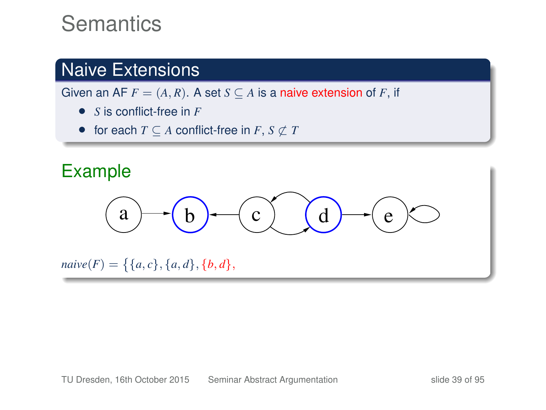#### Naive Extensions

- *S* is conflict-free in *F*
- for each  $T \subseteq A$  conflict-free in  $F, S \not\subset T$

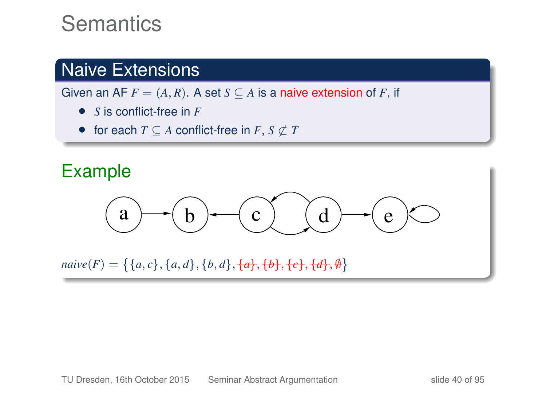#### Naive Extensions

- *S* is conflict-free in *F*
- for each  $T \subseteq A$  conflict-free in  $F, S \not\subset T$

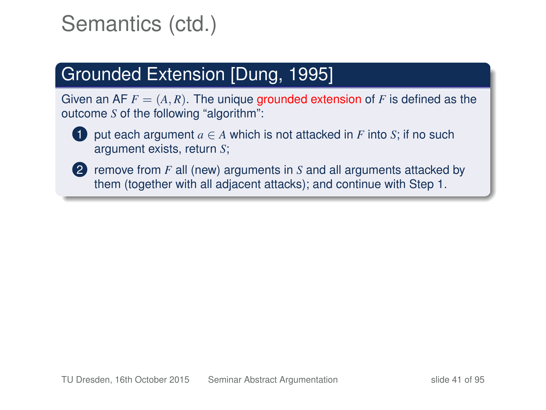### Grounded Extension [Dung, 1995]

Given an AF  $F = (A, R)$ . The unique grounded extension of F is defined as the outcome *S* of the following "algorithm":



**1** put each argument  $a \in A$  which is not attacked in  $F$  into  $S$ ; if no such argument exists, return *S*;

2 remove from *F* all (new) arguments in *S* and all arguments attacked by them (together with all adjacent attacks); and continue with Step 1.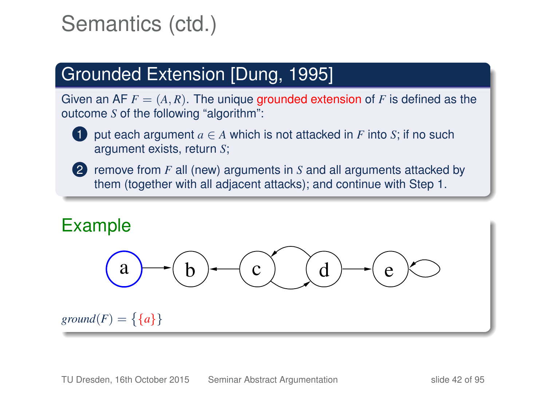### Grounded Extension [Dung, 1995]

Given an AF  $F = (A, R)$ . The unique grounded extension of F is defined as the outcome *S* of the following "algorithm":



**1** put each argument  $a \in A$  which is not attacked in  $F$  into  $S$ ; if no such argument exists, return *S*;

2 remove from *F* all (new) arguments in *S* and all arguments attacked by them (together with all adjacent attacks); and continue with Step 1.

#### Example



 $ground(F) = \{\{a\}\}\$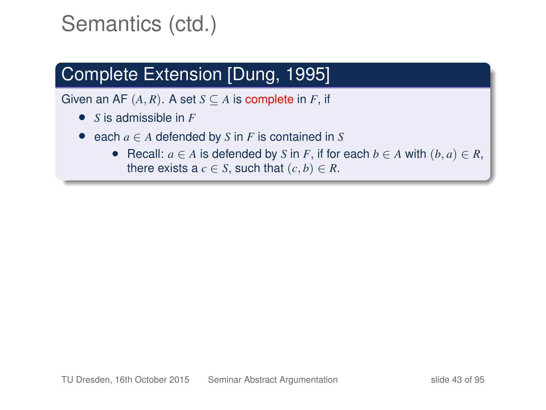### Complete Extension [Dung, 1995]

- *S* is admissible in *F*
- each  $a \in A$  defended by  $S$  in  $F$  is contained in  $S$ 
	- Recall:  $a \in A$  is defended by *S* in *F*, if for each  $b \in A$  with  $(b, a) \in R$ , there exists a  $c \in S$ , such that  $(c, b) \in R$ .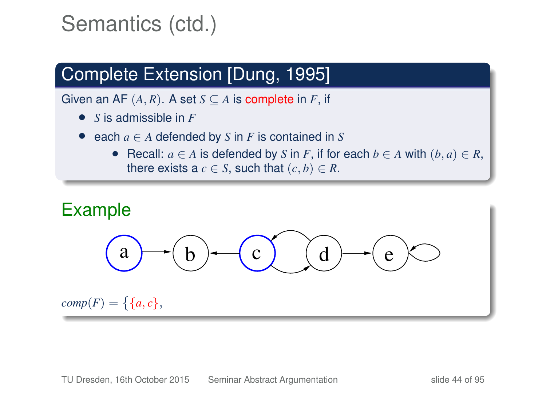### Complete Extension [Dung, 1995]

- *S* is admissible in *F*
- each  $a \in A$  defended by  $S$  in  $F$  is contained in  $S$ 
	- Recall:  $a \in A$  is defended by *S* in *F*, if for each  $b \in A$  with  $(b, a) \in R$ , there exists a  $c \in S$ , such that  $(c, b) \in R$ .

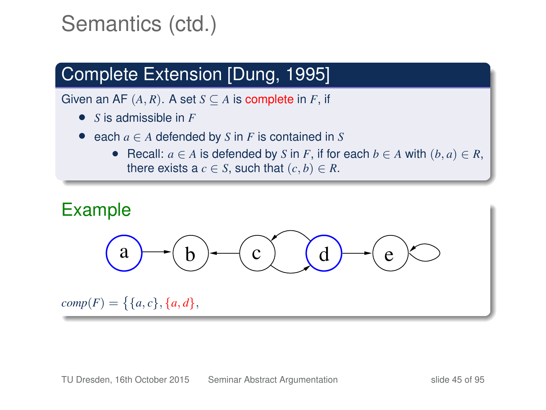### Complete Extension [Dung, 1995]

- *S* is admissible in *F*
- each  $a \in A$  defended by  $S$  in  $F$  is contained in  $S$ 
	- Recall:  $a \in A$  is defended by *S* in *F*, if for each  $b \in A$  with  $(b, a) \in R$ , there exists a  $c \in S$ , such that  $(c, b) \in R$ .

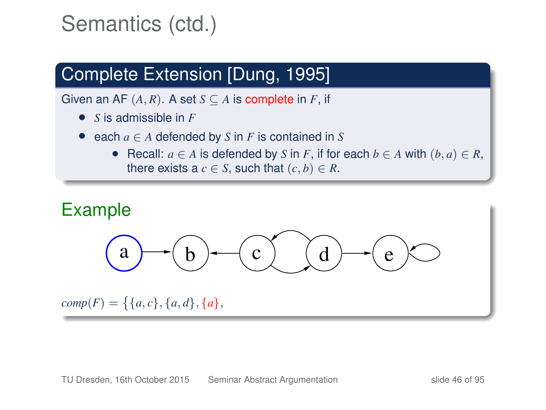### Complete Extension [Dung, 1995]

- *S* is admissible in *F*
- each  $a \in A$  defended by  $S$  in  $F$  is contained in  $S$ 
	- Recall:  $a \in A$  is defended by *S* in *F*, if for each  $b \in A$  with  $(b, a) \in R$ , there exists a  $c \in S$ , such that  $(c, b) \in R$ .

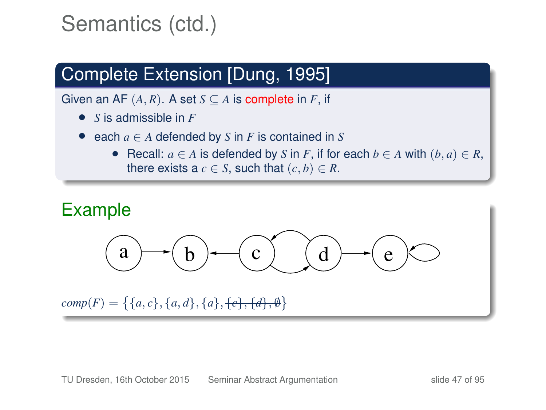### Complete Extension [Dung, 1995]

- *S* is admissible in *F*
- each  $a \in A$  defended by  $S$  in  $F$  is contained in  $S$ 
	- Recall:  $a \in A$  is defended by *S* in *F*, if for each  $b \in A$  with  $(b, a) \in R$ , there exists a  $c \in S$ , such that  $(c, b) \in R$ .

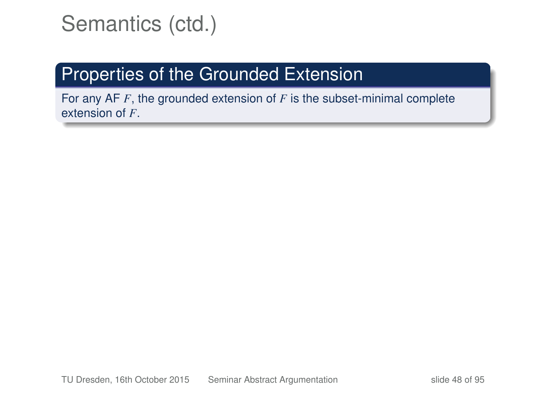### Properties of the Grounded Extension

For any AF *F*, the grounded extension of *F* is the subset-minimal complete extension of *F*.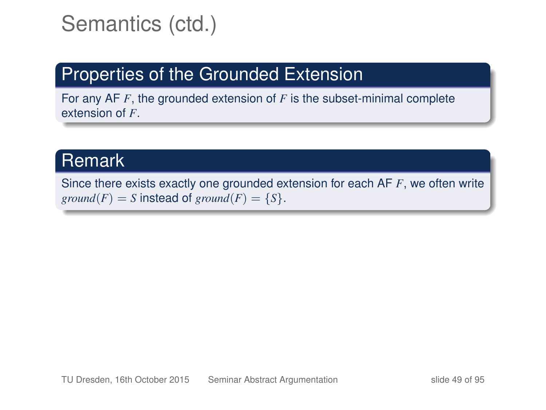### Properties of the Grounded Extension

For any AF *F*, the grounded extension of *F* is the subset-minimal complete extension of *F*.

#### Remark

Since there exists exactly one grounded extension for each AF *F*, we often write *ground*(*F*) = *S* instead of *ground*(*F*) = {*S*}.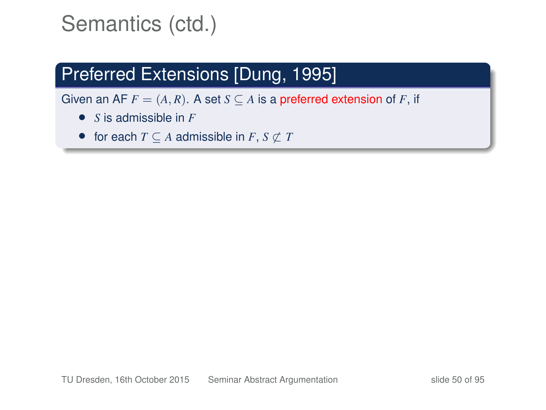### Preferred Extensions [Dung, 1995]

- *S* is admissible in *F*
- for each  $T \subseteq A$  admissible in  $F, S \nsubseteq T$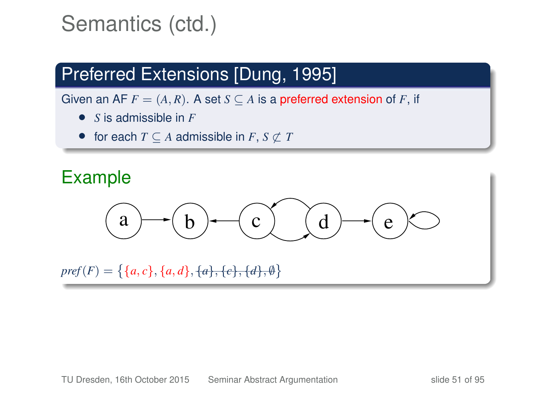### Preferred Extensions [Dung, 1995]

Given an AF  $F = (A, R)$ . A set  $S \subseteq A$  is a preferred extension of F, if

- *S* is admissible in *F*
- for each  $T \subseteq A$  admissible in  $F, S \nsubseteq T$

#### Example

$$
(a) \rightarrow (b) \rightarrow (c) \rightarrow (d) \rightarrow (e) \rightarrow
$$

 $pref(F)=\{\{a,c\},\{a,d\},\{a\},\{c\},\{d\},\emptyset\}$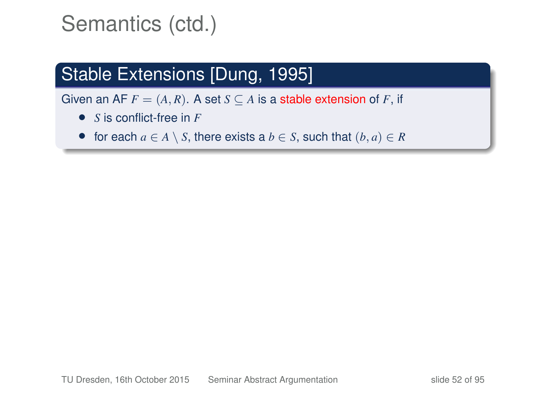### Stable Extensions [Dung, 1995]

- *S* is conflict-free in *F*
- for each  $a \in A \setminus S$ , there exists a  $b \in S$ , such that  $(b, a) \in R$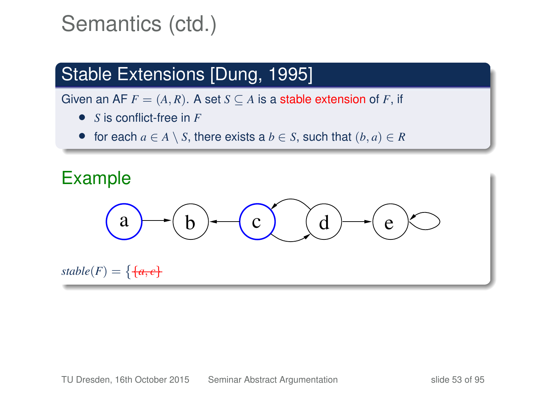### Stable Extensions [Dung, 1995]

- *S* is conflict-free in *F*
- for each  $a \in A \setminus S$ , there exists a  $b \in S$ , such that  $(b, a) \in R$

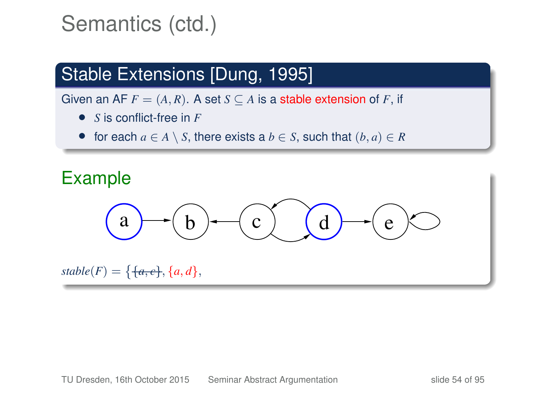### Stable Extensions [Dung, 1995]

- *S* is conflict-free in *F*
- for each  $a \in A \setminus S$ , there exists a  $b \in S$ , such that  $(b, a) \in R$

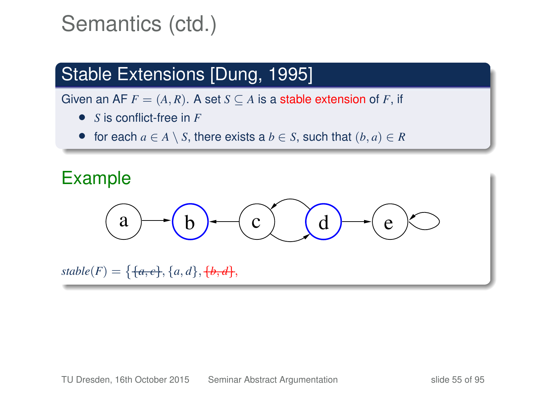### Stable Extensions [Dung, 1995]

- *S* is conflict-free in *F*
- for each  $a \in A \setminus S$ , there exists a  $b \in S$ , such that  $(b, a) \in R$

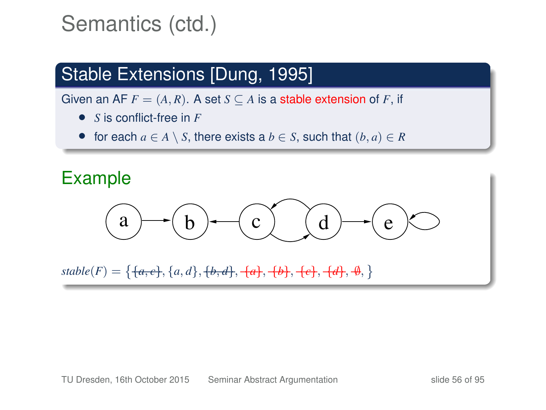### Stable Extensions [Dung, 1995]

- *S* is conflict-free in *F*
- for each  $a \in A \setminus S$ , there exists a  $b \in S$ , such that  $(b, a) \in R$

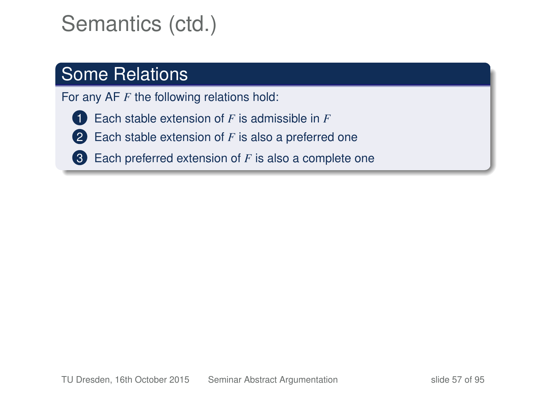#### Some Relations

For any AF *F* the following relations hold:

- 1 Each stable extension of *F* is admissible in *F*
- 2 Each stable extension of *F* is also a preferred one
- 3 Each preferred extension of *F* is also a complete one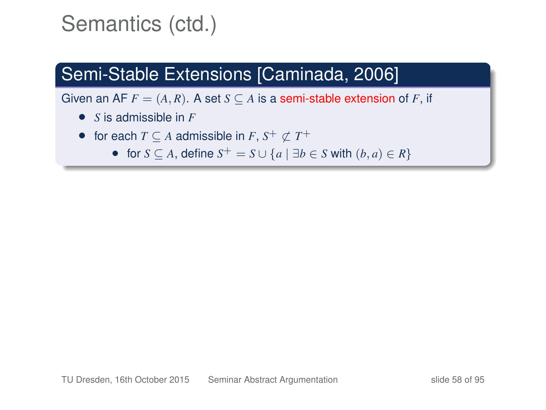### Semi-Stable Extensions [Caminada, 2006]

- *S* is admissible in *F*
- for each  $T \subseteq A$  admissible in  $F$ ,  $S^+ \nsubseteq T^+$ 
	- for  $S \subseteq A$ , define  $S^+ = S \cup \{a \mid \exists b \in S \text{ with } (b, a) \in R\}$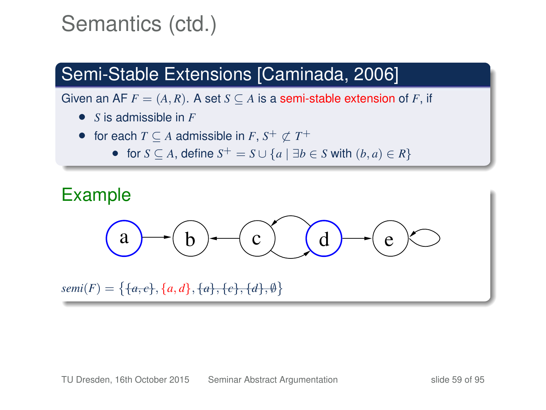### Semi-Stable Extensions [Caminada, 2006]

- *S* is admissible in *F*
- for each  $T \subseteq A$  admissible in  $F$ ,  $S^+ \nsubseteq T^+$ 
	- for  $S \subseteq A$ , define  $S^+ = S \cup \{a \mid \exists b \in S \text{ with } (b, a) \in R\}$

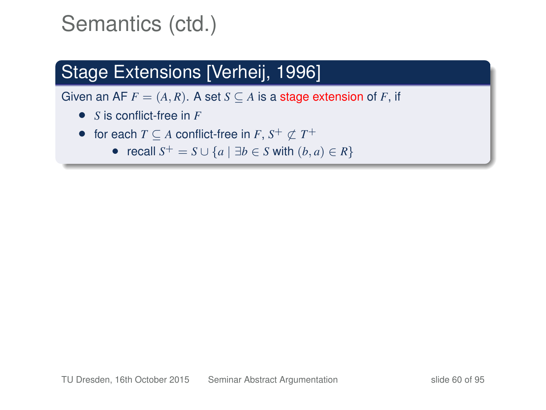### Stage Extensions [Verheij, 1996]

- *S* is conflict-free in *F*
- for each  $T \subseteq A$  conflict-free in  $F$ ,  $S^+ \nsubseteq T^+$ 
	- recall  $S^+ = S \cup \{a \mid \exists b \in S \text{ with } (b, a) \in R\}$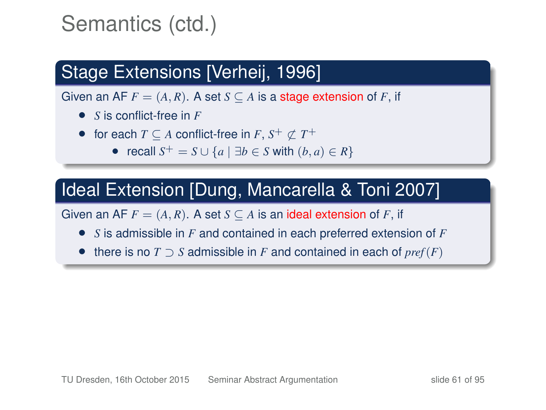### Stage Extensions [Verheij, 1996]

Given an AF  $F = (A, R)$ . A set  $S \subseteq A$  is a stage extension of F, if

- *S* is conflict-free in *F*
- for each  $T \subseteq A$  conflict-free in  $F$ ,  $S^+ \nsubseteq T^+$ 
	- recall  $S^+ = S \cup \{a \mid \exists b \in S \text{ with } (b, a) \in R\}$

#### Ideal Extension [Dung, Mancarella & Toni 2007]

- *S* is admissible in *F* and contained in each preferred extension of *F*
- there is no *T* ⊃ *S* admissible in *F* and contained in each of *pref* (*F*)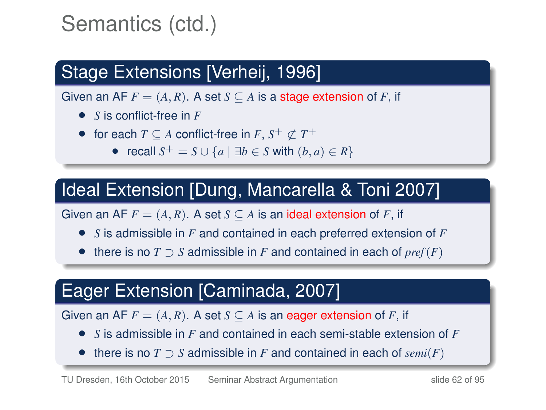### Stage Extensions [Verheij, 1996]

Given an AF  $F = (A, R)$ . A set  $S \subseteq A$  is a stage extension of F, if

- *S* is conflict-free in *F*
- for each  $T \subseteq A$  conflict-free in  $F$ ,  $S^+ \nsubseteq T^+$ 
	- recall  $S^+ = S \cup \{a \mid \exists b \in S \text{ with } (b, a) \in R\}$

### Ideal Extension [Dung, Mancarella & Toni 2007]

Given an AF  $F = (A, R)$ . A set  $S \subseteq A$  is an ideal extension of F, if

- *S* is admissible in *F* and contained in each preferred extension of *F*
- there is no *T* ⊃ *S* admissible in *F* and contained in each of *pref* (*F*)

### Eager Extension [Caminada, 2007]

- *S* is admissible in *F* and contained in each semi-stable extension of *F*
- there is no *T* ⊃ *S* admissible in *F* and contained in each of *semi*(*F*)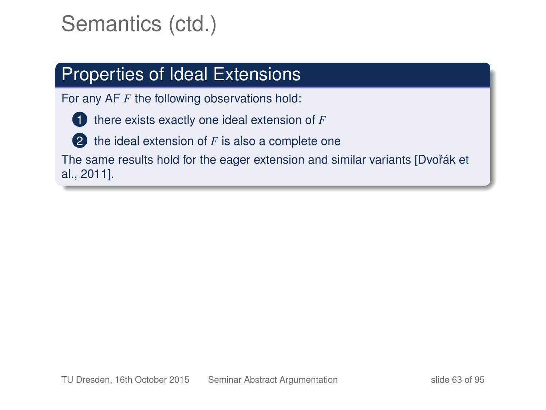#### Properties of Ideal Extensions

For any AF *F* the following observations hold:



2 the ideal extension of *F* is also a complete one

The same results hold for the eager extension and similar variants [Dvořák et al., 2011].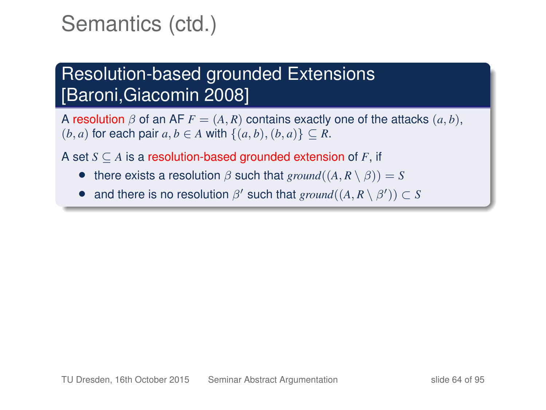### Resolution-based grounded Extensions [Baroni,Giacomin 2008]

A resolution  $\beta$  of an AF  $F = (A, R)$  contains exactly one of the attacks  $(a, b)$ ,  $(b, a)$  for each pair  $a, b \in A$  with  $\{(a, b), (b, a)\} \subset R$ .

A set *S* ⊆ *A* is a resolution-based grounded extension of *F*, if

- there exists a resolution  $\beta$  such that  $ground((A, R \setminus \beta)) = S$
- and there is no resolution  $\beta'$  such that  $ground((A, R \setminus \beta')) \subset S$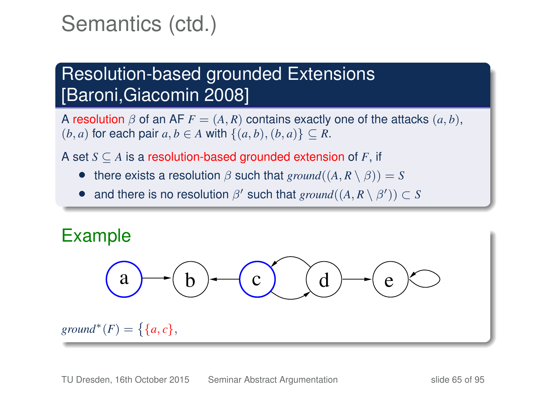### Resolution-based grounded Extensions [Baroni,Giacomin 2008]

A resolution  $\beta$  of an AF  $F = (A, R)$  contains exactly one of the attacks  $(a, b)$ ,  $(b, a)$  for each pair  $a, b \in A$  with  $\{(a, b), (b, a)\} \subset R$ .

A set *S* ⊆ *A* is a resolution-based grounded extension of *F*, if

- there exists a resolution  $\beta$  such that  $ground((A, R \setminus \beta)) = S$
- and there is no resolution  $\beta'$  such that  $ground((A, R \setminus \beta')) \subset S$

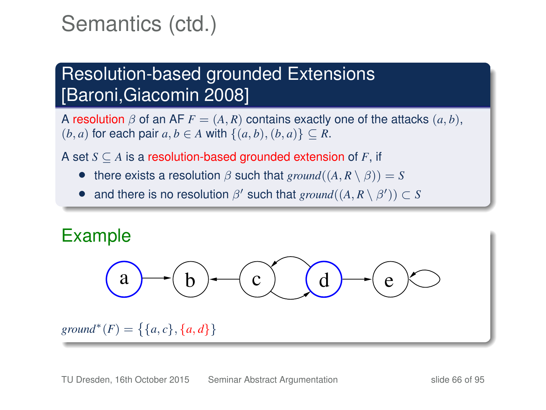### Resolution-based grounded Extensions [Baroni,Giacomin 2008]

A resolution  $\beta$  of an AF  $F = (A, R)$  contains exactly one of the attacks  $(a, b)$ ,  $(b, a)$  for each pair  $a, b \in A$  with  $\{(a, b), (b, a)\} \subset R$ .

A set *S* ⊆ *A* is a resolution-based grounded extension of *F*, if

- there exists a resolution  $\beta$  such that  $ground((A, R \setminus \beta)) = S$
- and there is no resolution  $\beta'$  such that  $ground((A, R \setminus \beta')) \subset S$

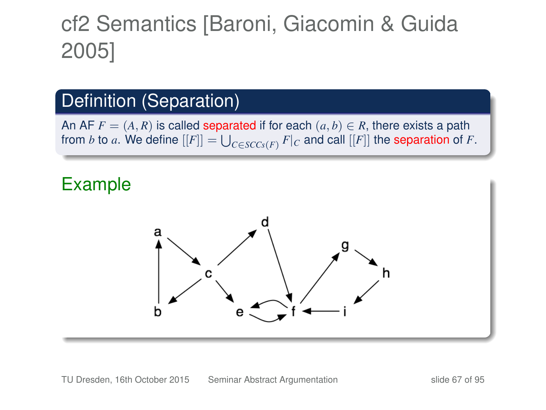# cf2 Semantics [Baroni, Giacomin & Guida 2005]

#### Definition (Separation)

An AF  $F = (A, R)$  is called separated if for each  $(a, b) \in R$ , there exists a path from *b* to *a*. We define  $[[F]] = \bigcup_{C \in SCC_S(F)} F|_C$  and call  $[[F]]$  the separation of *F*.

#### Example

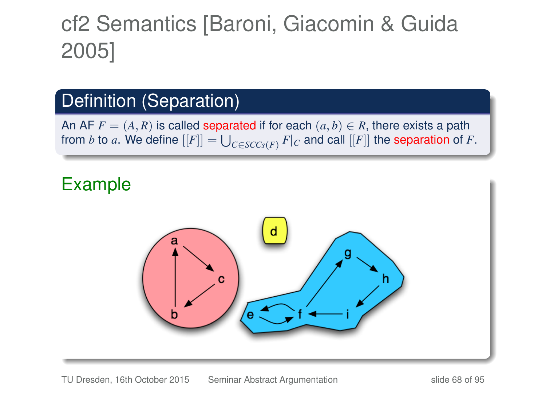# cf2 Semantics [Baroni, Giacomin & Guida 2005]

#### Definition (Separation)

An AF  $F = (A, R)$  is called separated if for each  $(a, b) \in R$ , there exists a path from *b* to *a*. We define  $[[F]] = \bigcup_{C \in SCC_S(F)} F|_C$  and call  $[[F]]$  the separation of *F*.

#### Example

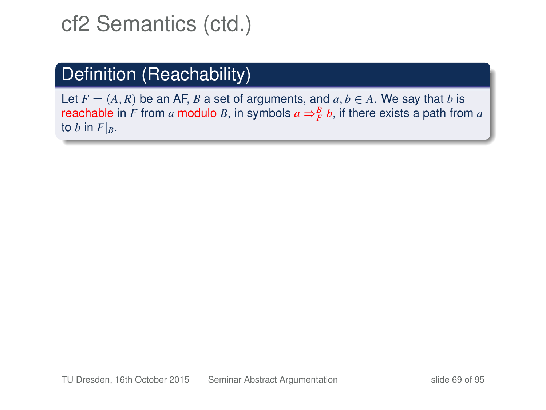### Definition (Reachability)

Let  $F = (A, R)$  be an AF, *B* a set of arguments, and  $a, b \in A$ . We say that *b* is reachable in *F* from *a* modulo *B*, in symbols  $a \Rightarrow^B_F b$ , if there exists a path from *a* to *b* in  $F|_B$ .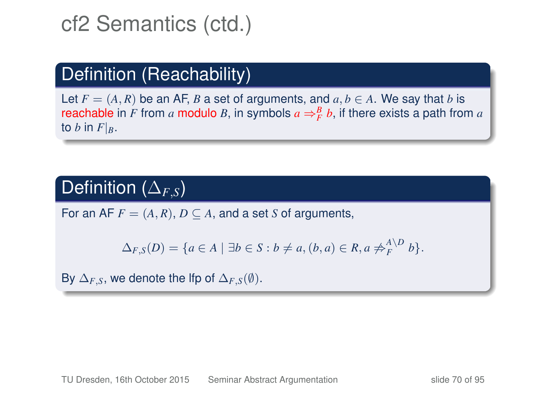### Definition (Reachability)

Let  $F = (A, R)$  be an AF, *B* a set of arguments, and  $a, b \in A$ . We say that *b* is reachable in *F* from *a* modulo *B*, in symbols  $a \Rightarrow^B_F b$ , if there exists a path from *a* to *b* in  $F|_B$ .

#### Definition (∆*F*,*S*)

For an AF  $F = (A, R), D \subseteq A$ , and a set *S* of arguments,

$$
\Delta_{F,S}(D) = \{a \in A \mid \exists b \in S : b \neq a, (b,a) \in R, a \not\Rightarrow_A^{A \setminus D} b\}.
$$

By  $\Delta_{F,S}$ , we denote the lfp of  $\Delta_{F,S}(\emptyset)$ .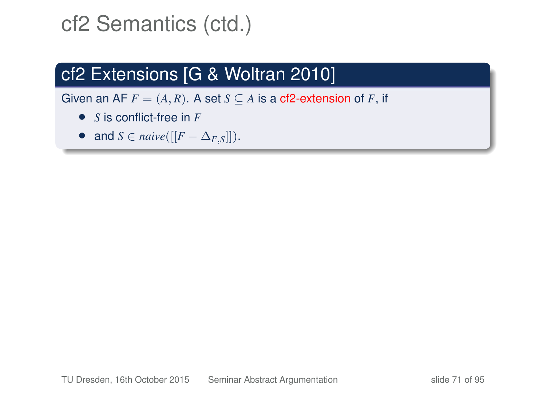### cf2 Extensions [G & Woltran 2010]

- *S* is conflict-free in *F*
- and  $S \in naive([[F \Delta_{F,S}]])$ .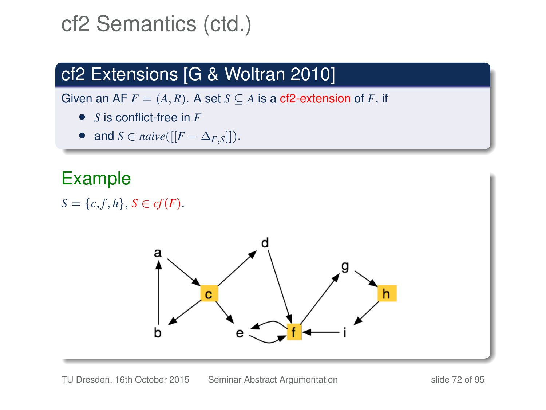### cf2 Extensions [G & Woltran 2010]

Given an AF  $F = (A, R)$ . A set  $S \subseteq A$  is a cf2-extension of F, if

- *S* is conflict-free in *F*
- and  $S \in naive([[F \Delta_{F,S}]])$ .

### Example

 $S = \{c, f, h\}, S \in cf(F).$ 

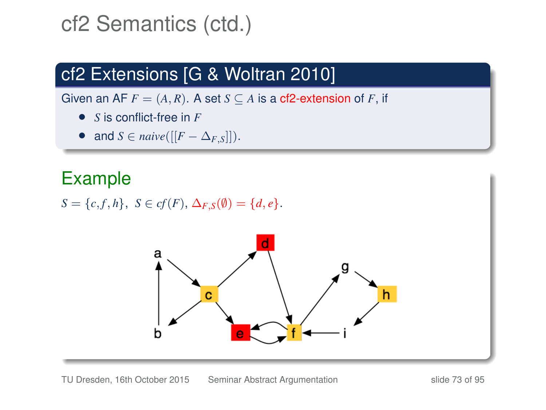# cf2 Semantics (ctd.)

## cf2 Extensions [G & Woltran 2010]

Given an AF  $F = (A, R)$ . A set  $S \subseteq A$  is a cf2-extension of F, if

- *S* is conflict-free in *F*
- and  $S \in naive([[F \Delta_{F,S}]])$ .

## Example

*S* = {*c*, *f*, *h*}, *S* ∈ *cf*(*F*),  $\Delta$ <sub>*F*</sub> *s*( $\emptyset$ ) = {*d*, *e*}.

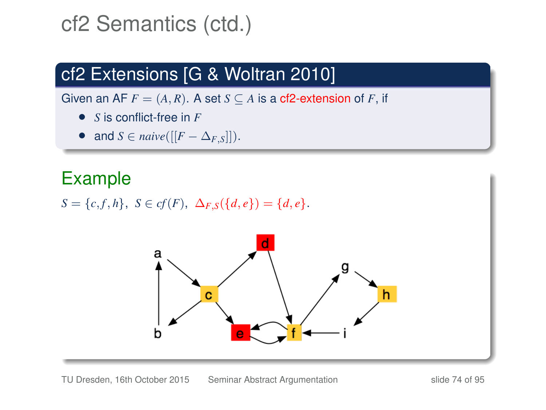# cf2 Semantics (ctd.)

## cf2 Extensions [G & Woltran 2010]

Given an AF  $F = (A, R)$ . A set  $S \subseteq A$  is a cf2-extension of F, if

- *S* is conflict-free in *F*
- and  $S \in naive([[F \Delta_{F,S}]])$ .

## Example

*S* = {*c*, *f*, *h*}, *S* ∈ *cf*(*F*),  $\Delta$ <sub>*F*</sub>,*S*({*d*, *e*}) = {*d*, *e*}.

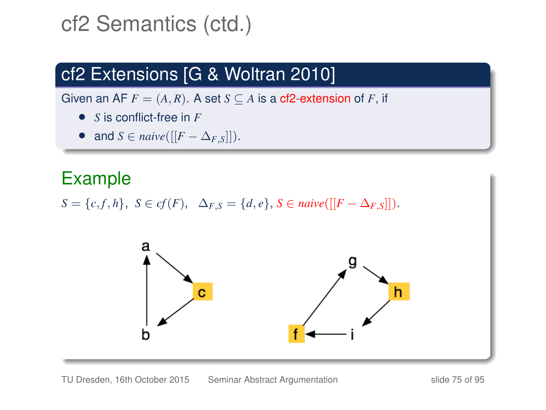# cf2 Semantics (ctd.)

## cf2 Extensions [G & Woltran 2010]

Given an AF  $F = (A, R)$ . A set  $S \subseteq A$  is a cf2-extension of F, if

- *S* is conflict-free in *F*
- and  $S \in naive([[F \Delta_{F,S}])$ .

## Example

*S* = {*c*, *f*, *h*}, *S* ∈ *cf*(*F*),  $\Delta_{F,S}$  = {*d*, *e*}, *S* ∈ *naive*([[*F* −  $\Delta_{F,S}$ ]]).

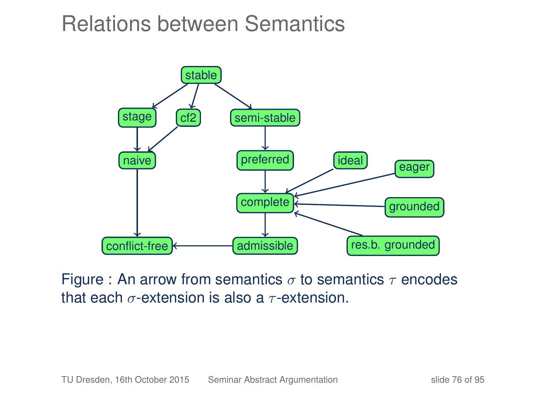# Relations between Semantics



Figure : An arrow from semantics  $\sigma$  to semantics  $\tau$  encodes that each  $\sigma$ -extension is also a  $\tau$ -extension.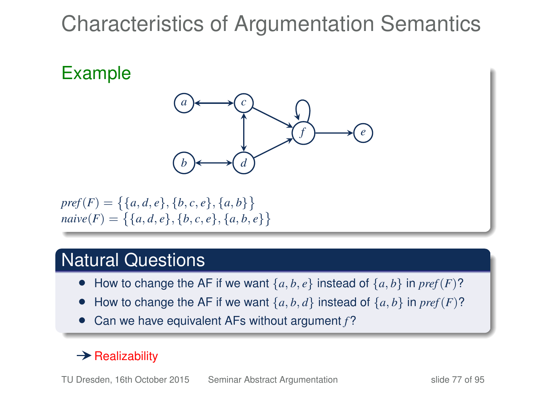# Characteristics of Argumentation Semantics

## Example



$$
pref(F)=\{\{a,d,e\},\{b,c,e\},\{a,b\}\}\
$$

$$
naive(F)=\{\{a,d,e\},\{b,c,e\},\{a,b,e\}\}\
$$

### Natural Questions

- How to change the AF if we want  $\{a, b, e\}$  instead of  $\{a, b\}$  in  $pref(F)$ ?
- How to change the AF if we want  $\{a, b, d\}$  instead of  $\{a, b\}$  in  $pref(F)$ ?
- Can we have equivalent AFs without argument *f* ?

### $\rightarrow$  Realizability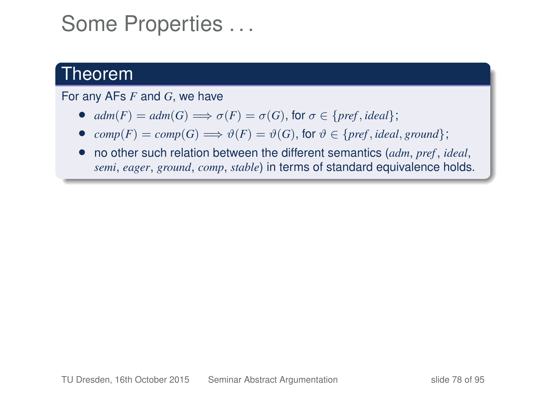## Some Properties . . .

### Theorem

For any AFs *F* and *G*, we have

- $adm(F) = adm(G) \Longrightarrow \sigma(F) = \sigma(G)$ , for  $\sigma \in \{pref, ideal\};$
- $comp(F) = comp(G) \Longrightarrow \vartheta(F) = \vartheta(G)$ , for  $\vartheta \in \{pref, ideal, ground\};$
- no other such relation between the different semantics (*adm*, *pref* , *ideal*, *semi*, *eager*, *ground*, *comp*, *stable*) in terms of standard equivalence holds.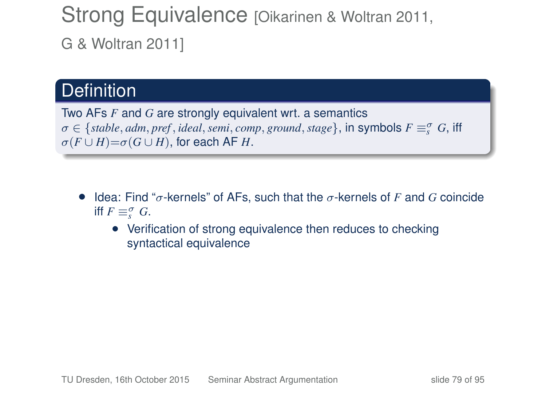## Strong Equivalence [Oikarinen & Woltran 2011, G & Woltran 2011]

## **Definition**

Two AFs *F* and *G* are strongly equivalent wrt. a semantics  $\sigma \in \{stable, adm, pref, ideal, semi, comp, ground, stage\}$ , in symbols  $F \equiv_S^{\sigma} G$ , iff  $\sigma(F \cup H) = \sigma(G \cup H)$ , for each AF *H*.

- Idea: Find "σ-kernels" of AFs, such that the σ-kernels of *F* and *G* coincide iff  $F \equiv_s^\sigma G$ .
	- Verification of strong equivalence then reduces to checking syntactical equivalence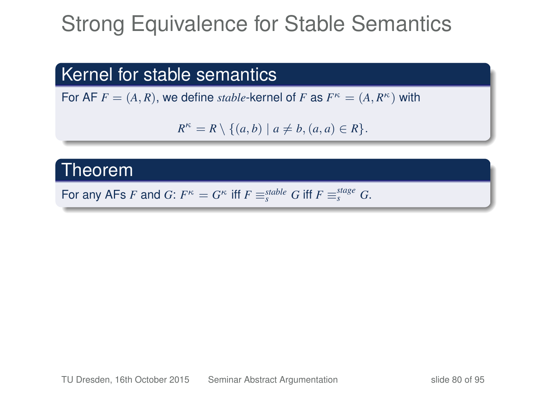# Strong Equivalence for Stable Semantics

### Kernel for stable semantics

For AF  $F = (A, R)$ , we define *stable*-kernel of F as  $F^{\kappa} = (A, R^{\kappa})$  with

$$
R^{\kappa} = R \setminus \{(a, b) \mid a \neq b, (a, a) \in R\}.
$$

### Theorem

For any AFs *F* and *G*:  $F^{\kappa} = G^{\kappa}$  iff  $F \equiv_s^{stable} G$  iff  $F \equiv_s^{stage} G$ .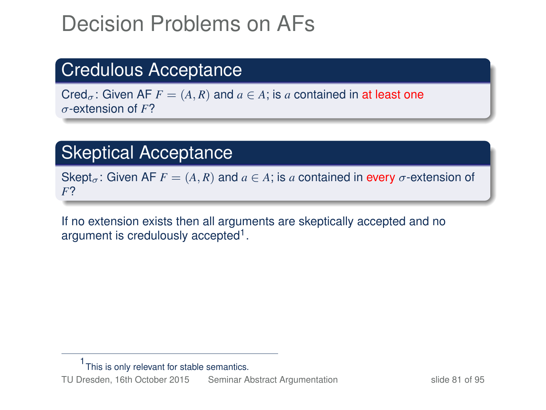# Decision Problems on AFs

## Credulous Acceptance

Cred<sub>σ</sub>: Given AF  $F = (A, R)$  and  $a \in A$ ; is a contained in at least one σ-extension of *F*?

### **Skeptical Acceptance**

Skept<sub> $\sigma$ </sub>: Given AF  $F = (A, R)$  and  $a \in A$ ; is a contained in every  $\sigma$ -extension of *F*?

If no extension exists then all arguments are skeptically accepted and no argument is credulously accepted<sup>1</sup>.

<sup>1</sup> This is only relevant for stable semantics.

TU Dresden, 16th October 2015 [Seminar Abstract Argumentation](#page-0-0) slide 81 of 95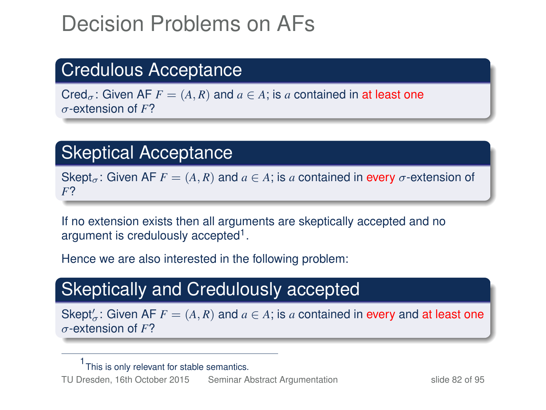# Decision Problems on AFs

## Credulous Acceptance

Cred<sub> $\sigma$ </sub>: Given AF  $F = (A, R)$  and  $a \in A$ ; is a contained in at least one σ-extension of *F*?

### Skeptical Acceptance

Skept<sub>σ</sub>: Given AF  $F = (A, R)$  and  $a \in A$ ; is a contained in every  $\sigma$ -extension of *F*?

If no extension exists then all arguments are skeptically accepted and no argument is credulously accepted<sup>1</sup>.

Hence we are also interested in the following problem:

## Skeptically and Credulously accepted

Skept'<sub>a</sub>: Given AF  $F = (A, R)$  and  $a \in A$ ; is a contained in every and at least one σ-extension of *F*?

<sup>1</sup> This is only relevant for stable semantics.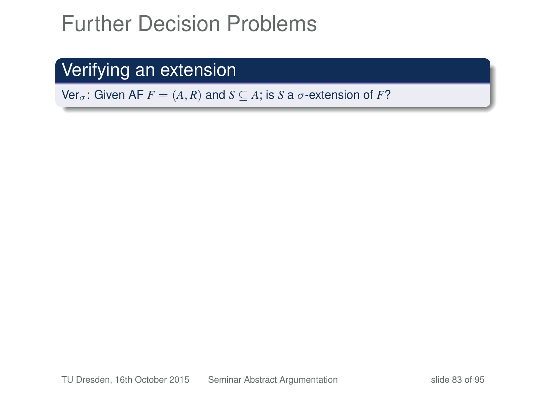# Further Decision Problems

## Verifying an extension

Ver<sub> $\sigma$ </sub>: Given AF  $F = (A, R)$  and  $S \subseteq A$ ; is *S* a  $\sigma$ -extension of *F*?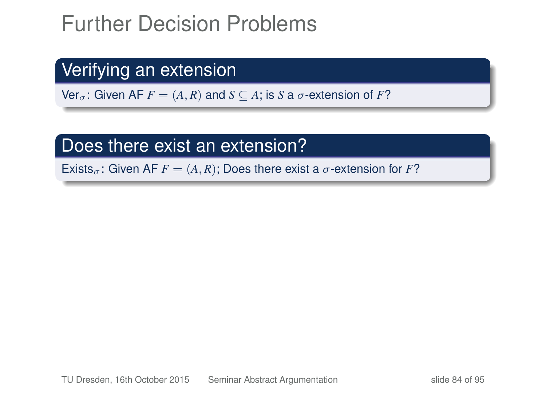# Further Decision Problems

## Verifying an extension

Ver<sub> $\sigma$ </sub>: Given AF  $F = (A, R)$  and  $S \subseteq A$ ; is *S* a  $\sigma$ -extension of *F*?

### Does there exist an extension?

Exists<sub> $\sigma$ </sub>: Given AF  $F = (A, R)$ ; Does there exist a  $\sigma$ -extension for F?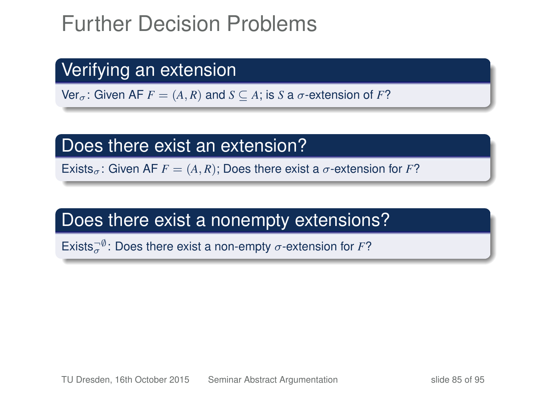# Further Decision Problems

## Verifying an extension

Ver<sub> $\sigma$ </sub>: Given AF  $F = (A, R)$  and  $S \subseteq A$ ; is *S* a  $\sigma$ -extension of *F*?

### Does there exist an extension?

Exists<sub> $\sigma$ </sub>: Given AF  $F = (A, R)$ ; Does there exist a  $\sigma$ -extension for F?

## Does there exist a nonempty extensions?

Exists $\overline{\sigma}^0$ : Does there exist a non-empty  $\sigma$ -extension for *F*?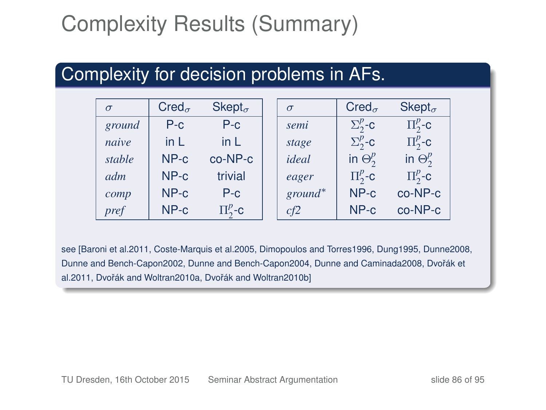# Complexity Results (Summary)

### Complexity for decision problems in AFs.

| $\sigma$ | $Cred_{\sigma}$ | $Sk$ ept $_{\sigma}$ | $\sigma$   | $Cred_{\sigma}$   | $Sk$ ept $_{\sigma}$ |
|----------|-----------------|----------------------|------------|-------------------|----------------------|
| ground   | $P-c$           | $P-c$                | semi       | $\Sigma^p_2$ -c   | $\Pi^p_2$ -c         |
| naive    | in $L$          | in L                 | stage      | $\Sigma^p_{2}$ -c | $\Pi^p_2$ -c         |
| stable   | $NP-c$          | $co-NP-c$            | ideal      | in $\Theta_2^p$   | in $\Theta_2^p$      |
| adm      | $NP-c$          | trivial              | eager      | $\Pi^p_2$ -c      | $\Pi^p_2$ -c         |
| comp     | $NP-c$          | $P-c$                | $ground^*$ | $NP-c$            | $co-NP-c$            |
| pref     | $NP-c$          | $\Pi^p_2$ -c         | cf2        | $NP-c$            | co-NP-c              |

see [Baroni et al.2011, Coste-Marquis et al.2005, Dimopoulos and Torres1996, Dung1995, Dunne2008, Dunne and Bench-Capon2002, Dunne and Bench-Capon2004, Dunne and Caminada2008, Dvořák et al.2011, Dvořák and Woltran2010a, Dvořák and Woltran2010b]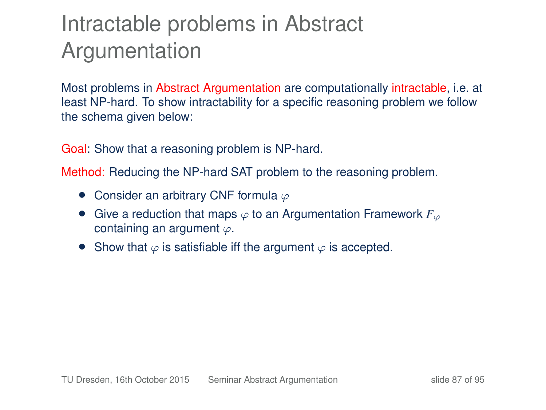# Intractable problems in Abstract Argumentation

Most problems in Abstract Argumentation are computationally intractable, i.e. at least NP-hard. To show intractability for a specific reasoning problem we follow the schema given below:

Goal: Show that a reasoning problem is NP-hard.

Method: Reducing the NP-hard SAT problem to the reasoning problem.

- Consider an arbitrary CNF formula  $\varphi$
- Give a reduction that maps  $\varphi$  to an Argumentation Framework  $F_{\varphi}$ containing an argument ϕ.
- Show that  $\varphi$  is satisfiable iff the argument  $\varphi$  is accepted.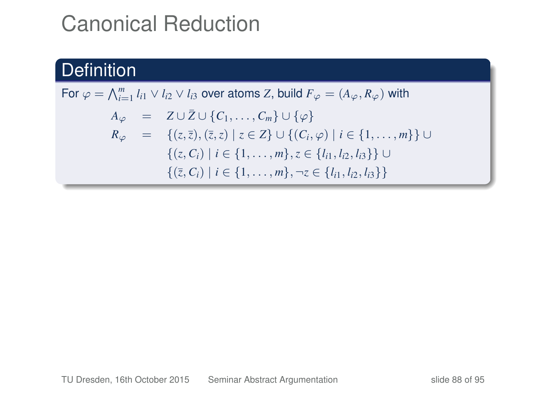# Canonical Reduction

### **Definition**

For  $\varphi = \bigwedge_{i=1}^m l_{i1} \vee l_{i2} \vee l_{i3}$  over atoms *Z*, build  $F_{\varphi} = (A_{\varphi}, R_{\varphi})$  with  $A_{\varphi}$  =  $Z \cup \overline{Z} \cup \{C_1, \ldots, C_m\} \cup \{\varphi\}$ *R*<sup>ϕ</sup> = {(*z*,¯*z*), (¯*z*,*z*) | *z* ∈ *Z*} ∪ {(*Ci*, ϕ) | *i* ∈ {1, . . . , *m*}} ∪  ${(z, C_i) | i ∈ {1, ..., m}, z ∈ {l<sub>i1</sub>, l<sub>i2</sub>, l<sub>i3</sub>}$  ∪  $\{(\overline{z}, C_i) \mid i \in \{1, \ldots, m\}, \neg z \in \{l_{i1}, l_{i2}, l_{i3}\}\}\$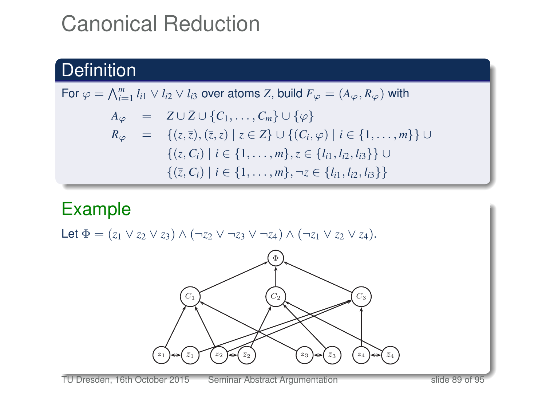# Canonical Reduction

## **Definition**

For 
$$
\varphi = \bigwedge_{i=1}^{m} l_{i1} \vee l_{i2} \vee l_{i3}
$$
 over atoms Z, build  $F_{\varphi} = (A_{\varphi}, R_{\varphi})$  with  
\n
$$
A_{\varphi} = Z \cup \bar{Z} \cup \{C_1, ..., C_m\} \cup \{\varphi\}
$$
\n
$$
R_{\varphi} = \{(z, \bar{z}), (\bar{z}, z) \mid z \in Z\} \cup \{(C_i, \varphi) \mid i \in \{1, ..., m\}\} \cup \{(z, C_i) \mid i \in \{1, ..., m\}, z \in \{l_{i1}, l_{i2}, l_{i3}\}\} \cup \{\{\bar{z}, C_i\} \mid i \in \{1, ..., m\}, \neg z \in \{l_{i1}, l_{i2}, l_{i3}\}\}
$$

## **Example**

Let 
$$
\Phi = (z_1 \vee z_2 \vee z_3) \wedge (\neg z_2 \vee \neg z_3 \vee \neg z_4) \wedge (\neg z_1 \vee z_2 \vee z_4).
$$

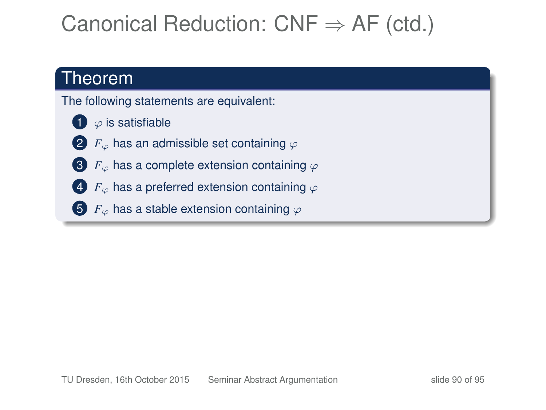# Canonical Reduction:  $CNF \Rightarrow AF$  (ctd.)

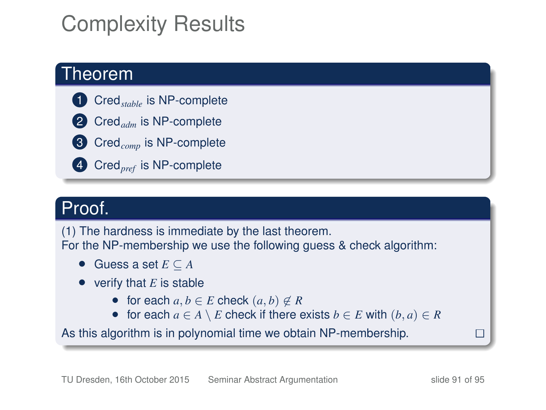# Complexity Results

### Theorem

- **1** Cred<sub>stable</sub> is NP-complete
- 2 Cred<sub>adm</sub> is NP-complete
- **3** Cred<sub>comp</sub> is NP-complete
- 4 Cred*pref* is NP-complete

### Proof.

(1) The hardness is immediate by the last theorem. For the NP-membership we use the following guess & check algorithm:

- Guess a set *E* ⊆ *A*
- verify that *E* is stable
	- for each  $a, b \in E$  check  $(a, b) \notin R$
	- for each  $a \in A \setminus E$  check if there exists  $b \in E$  with  $(b, a) \in R$

As this algorithm is in polynomial time we obtain NP-membership.

П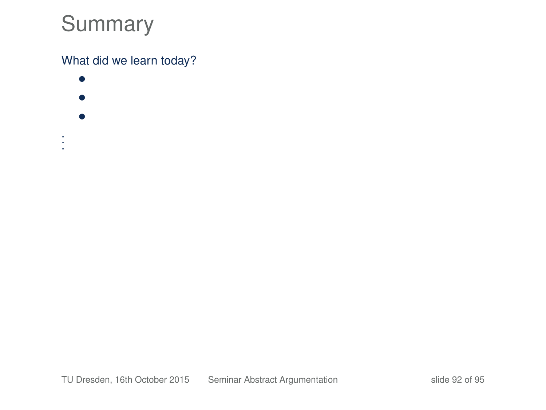# Summary

### What did we learn today?

- • •
- 
- . . .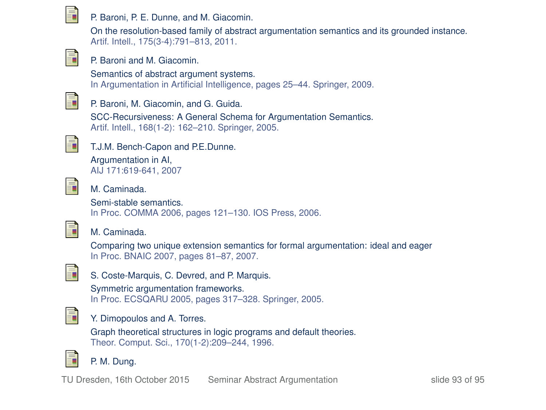

#### P. Baroni, P. E. Dunne, and M. Giacomin.

On the resolution-based family of abstract argumentation semantics and its grounded instance. Artif. Intell., 175(3-4):791–813, 2011.



#### P. Baroni and M. Giacomin.

Semantics of abstract argument systems. In Argumentation in Artificial Intelligence, pages 25–44. Springer, 2009.



#### P. Baroni, M. Giacomin, and G. Guida.

SCC-Recursiveness: A General Schema for Argumentation Semantics. Artif. Intell., 168(1-2): 162–210. Springer, 2005.



### T.J.M. Bench-Capon and P.E.Dunne. Argumentation in AI,

AIJ 171:619-641, 2007



#### M. Caminada.

Semi-stable semantics. In Proc. COMMA 2006, pages 121–130. IOS Press, 2006.



#### M. Caminada.

Comparing two unique extension semantics for formal argumentation: ideal and eager In Proc. BNAIC 2007, pages 81–87, 2007.



### S. Coste-Marquis, C. Devred, and P. Marquis.

Symmetric argumentation frameworks. In Proc. ECSQARU 2005, pages 317–328. Springer, 2005.



#### Y. Dimopoulos and A. Torres.

Graph theoretical structures in logic programs and default theories. Theor. Comput. Sci., 170(1-2):209–244, 1996.



#### P. M. Dung.

TU Dresden, 16th October 2015 [Seminar Abstract Argumentation](#page-0-0) since slide 93 of 95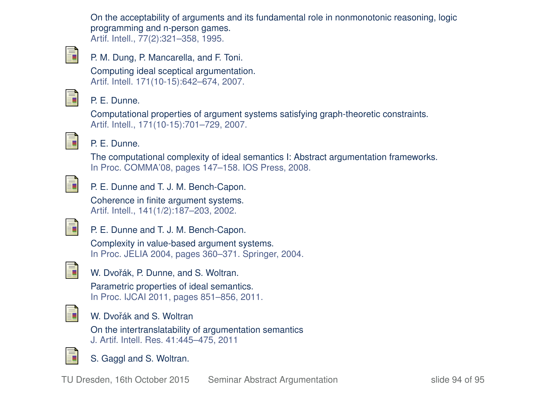On the acceptability of arguments and its fundamental role in nonmonotonic reasoning, logic programming and n-person games. Artif. Intell., 77(2):321–358, 1995.



P. M. Dung, P. Mancarella, and F. Toni.

Computing ideal sceptical argumentation. Artif. Intell. 171(10-15):642–674, 2007.



#### P. E. Dunne.

Computational properties of argument systems satisfying graph-theoretic constraints. Artif. Intell., 171(10-15):701–729, 2007.



#### P. E. Dunne.

The computational complexity of ideal semantics I: Abstract argumentation frameworks. In Proc. COMMA'08, pages 147–158. IOS Press, 2008.



P. E. Dunne and T. J. M. Bench-Capon.

Coherence in finite argument systems. Artif. Intell., 141(1/2):187–203, 2002.



P. E. Dunne and T. J. M. Bench-Capon.

Complexity in value-based argument systems. In Proc. JELIA 2004, pages 360–371. Springer, 2004.



W. Dvořák, P. Dunne, and S. Woltran.

Parametric properties of ideal semantics. In Proc. IJCAI 2011, pages 851–856, 2011.



#### W. Dvořák and S. Woltran

On the intertranslatability of argumentation semantics J. Artif. Intell. Res. 41:445–475, 2011



S. Gaggl and S. Woltran.